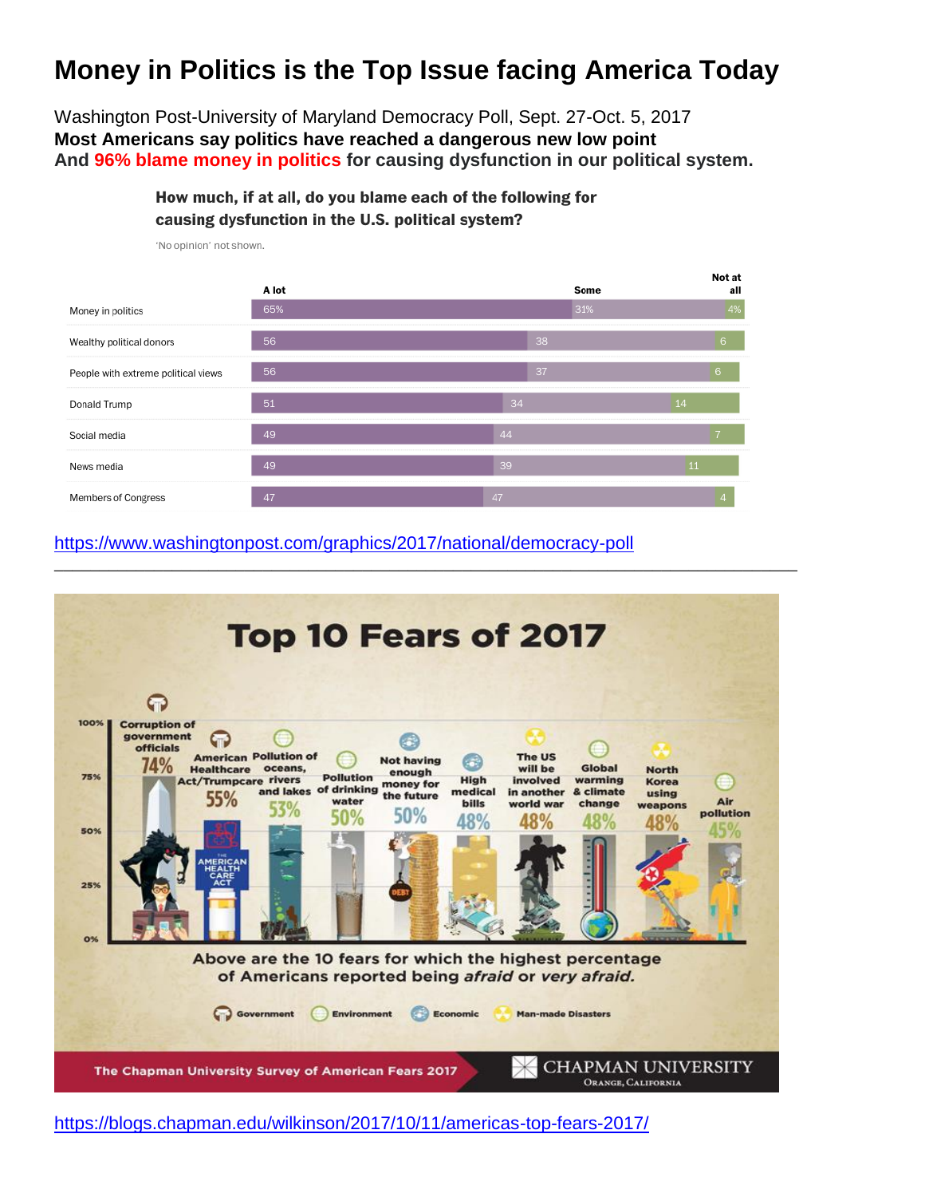## **Money in Politics is the Top Issue facing America Today**

Washington Post-University of Maryland Democracy Poll, Sept. 27-Oct. 5, 2017 **Most Americans say politics have reached a dangerous new low point And 96% blame money in politics for causing dysfunction in our political system.**

> How much, if at all, do you blame each of the following for causing dysfunction in the U.S. political system?



'No opinion' not shown.

#### <https://www.washingtonpost.com/graphics/2017/national/democracy-poll>



<https://blogs.chapman.edu/wilkinson/2017/10/11/americas-top-fears-2017/>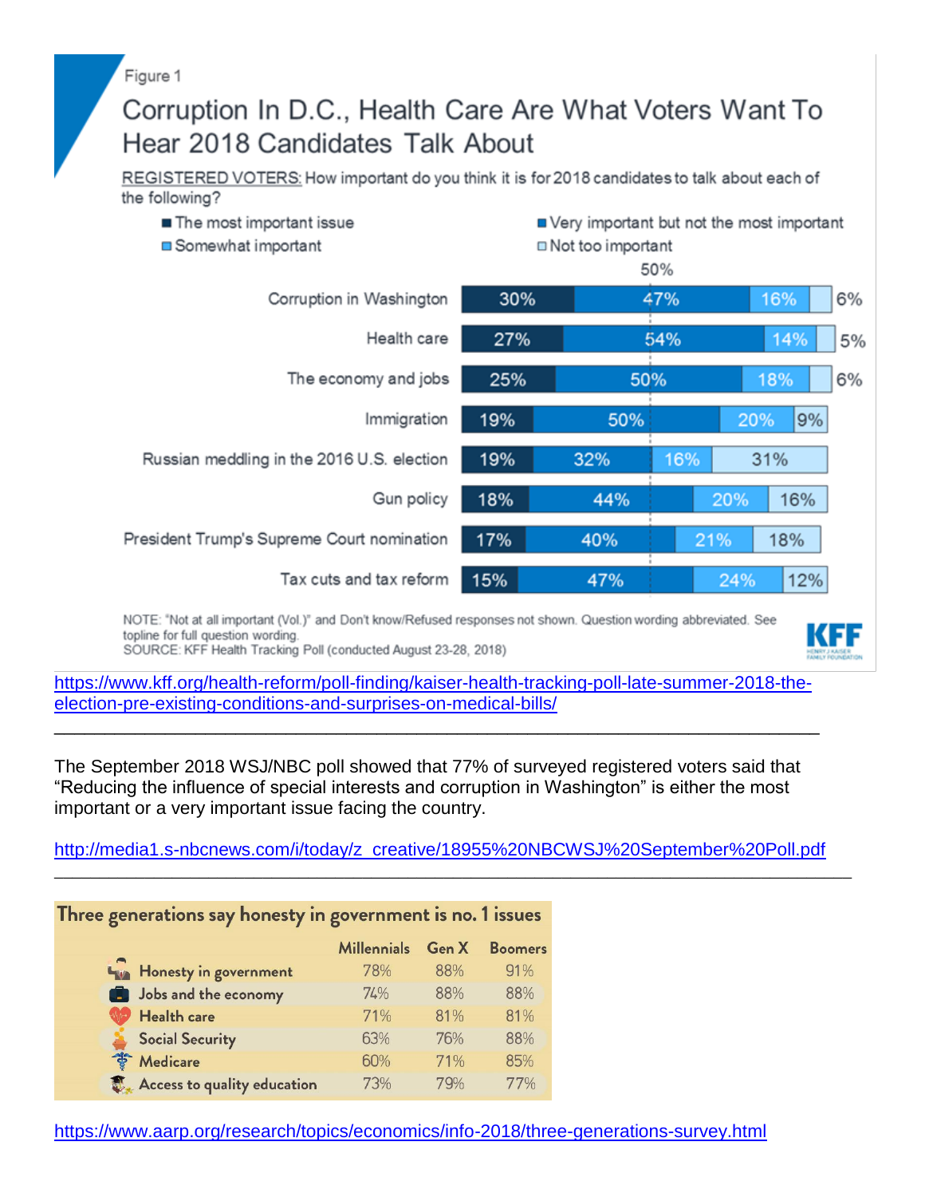Figure 1

# Corruption In D.C., Health Care Are What Voters Want To Hear 2018 Candidates Talk About

REGISTERED VOTERS: How important do you think it is for 2018 candidates to talk about each of the following?



NOTE: "Not at all important (Vol.)" and Don't know/Refused responses not shown. Question wording abbreviated. See topline for full question wording.

SOURCE: KFF Health Tracking Poll (conducted August 23-28, 2018)

[https://www.kff.org/health-reform/poll-finding/kaiser-health-tracking-poll-late-summer-2018-the](https://www.kff.org/health-reform/poll-finding/kaiser-health-tracking-poll-late-summer-2018-the-election-pre-existing-conditions-and-surprises-on-medical-bills/)[election-pre-existing-conditions-and-surprises-on-medical-bills/](https://www.kff.org/health-reform/poll-finding/kaiser-health-tracking-poll-late-summer-2018-the-election-pre-existing-conditions-and-surprises-on-medical-bills/)

\_\_\_\_\_\_\_\_\_\_\_\_\_\_\_\_\_\_\_\_\_\_\_\_\_\_\_\_\_\_\_\_\_\_\_\_\_\_\_\_\_\_\_\_\_\_\_\_\_\_\_\_\_\_\_\_\_\_\_\_\_\_\_\_\_\_\_\_\_\_\_\_\_\_\_\_

The September 2018 WSJ/NBC poll showed that 77% of surveyed registered voters said that "Reducing the influence of special interests and corruption in Washington" is either the most important or a very important issue facing the country.

[http://media1.s-nbcnews.com/i/today/z\\_creative/18955%20NBCWSJ%20September%20Poll.pdf](http://media1.s-nbcnews.com/i/today/z_creative/18955%20NBCWSJ%20September%20Poll.pdf)

\_\_\_\_\_\_\_\_\_\_\_\_\_\_\_\_\_\_\_\_\_\_\_\_\_\_\_\_\_\_\_\_\_\_\_\_\_\_\_\_\_\_\_\_\_\_\_\_\_\_\_\_\_\_\_\_\_\_\_\_\_\_\_\_\_\_\_\_\_\_\_\_\_\_\_\_\_\_\_\_\_\_\_\_\_\_\_\_

### Three generations say honesty in government is no. 1 issues

|                             | <b>Millennials</b> | Gen X | <b>Boomers</b> |
|-----------------------------|--------------------|-------|----------------|
| Honesty in government       | <b>78%</b>         | 88%   | 91%            |
| Jobs and the economy        | 74%                | 88%   | 88%            |
| Health care                 | 71%                | 81%   | 81%            |
| <b>Social Security</b>      | 63%                | 76%   | 88%            |
| <b>Medicare</b><br>卷        | 60%                | 71%   | 85%            |
| Access to quality education | 73%                | 79%   | 77%            |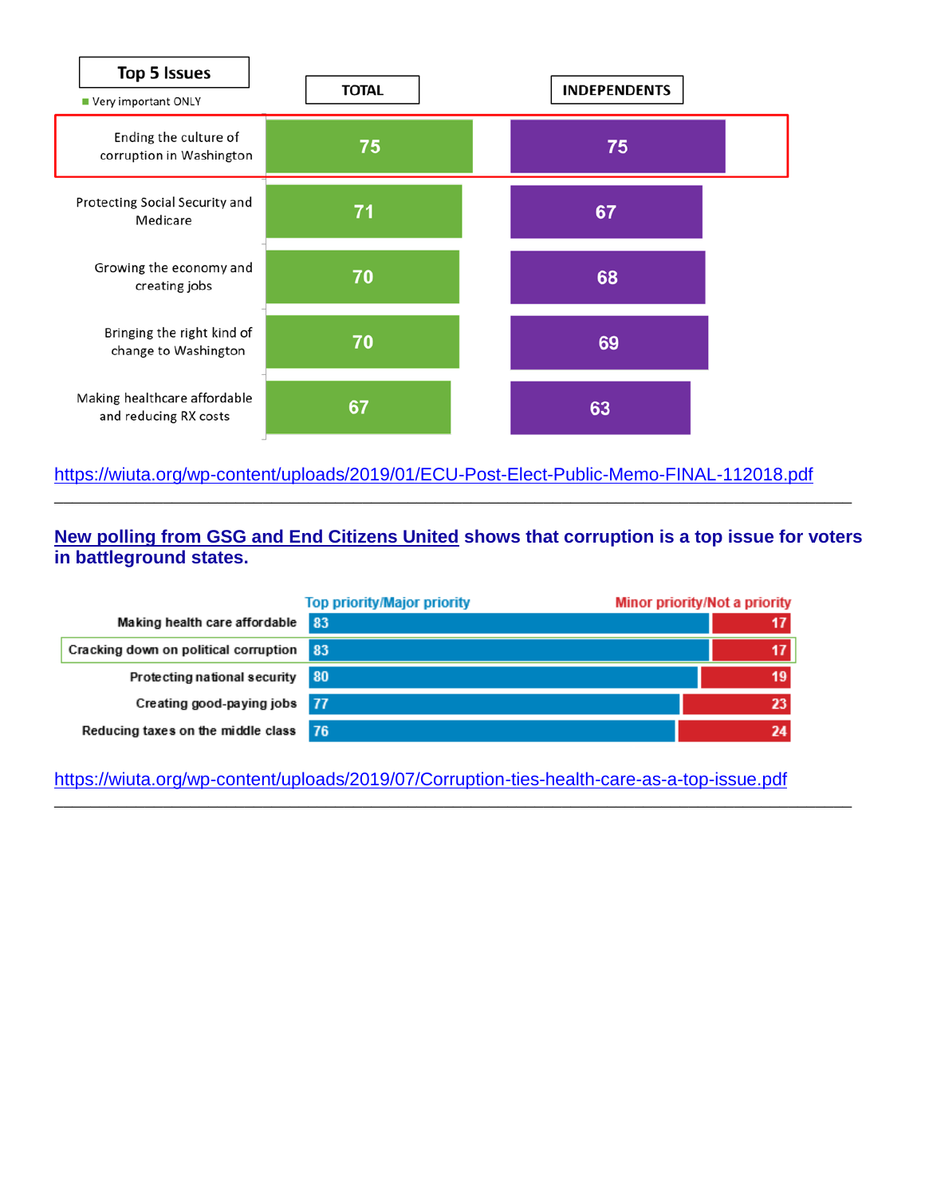

#### <https://wiuta.org/wp-content/uploads/2019/01/ECU-Post-Elect-Public-Memo-FINAL-112018.pdf>

**[New polling from GSG and End Citizens United](http://r20.rs6.net/tn.jsp?f=001yr62lwNgBK2_QIJNtvgVSnGymTN866KF4rvKSR5UHT_QdC6N5NQuMovkVyqg83gbs8u2oF3_UuASxRMnb5Ty6ovtsmpXHmXvO3bHkQH7kjTzSlASffv2eZwQByMrZ8gD5AmQUzpHGA7TxjnwGJYD0JWfa44i31bq1BLkdyJIB8VIuDGe7vSOaIbmv9C4CF0E5izXi-DBJ-eK7xAN3Fa6YvcUlPvwz-i-PBziKcJgdYLO8Hwp6LcsUSoeavbCSo5tKikjzLEulE0=&c=0f1crrONaFHn05ufRjJpgLbF0dxPNj-8W8q_pQbfiXBL7cplxxAnxA==&ch=oWwEgmMQycejut0hH1wTkxshC2E-p79ENIQFFNPN27AvdQJ5x6LnXg==) shows that corruption is a top issue for voters in battleground states.**

\_\_\_\_\_\_\_\_\_\_\_\_\_\_\_\_\_\_\_\_\_\_\_\_\_\_\_\_\_\_\_\_\_\_\_\_\_\_\_\_\_\_\_\_\_\_\_\_\_\_\_\_\_\_\_\_\_\_\_\_\_\_\_\_\_\_\_\_\_\_\_\_\_\_\_\_\_\_\_\_\_\_\_\_\_\_\_\_

|                                          | <b>Top priority/Major priority</b> | Minor priority/Not a priority |
|------------------------------------------|------------------------------------|-------------------------------|
| Making health care affordable            | 83                                 |                               |
| Cracking down on political corruption 83 |                                    |                               |
| Protecting national security             | 80                                 | 19 <sup>°</sup>               |
| Creating good-paying jobs 77             |                                    | 23                            |
| Reducing taxes on the middle class       | -76                                | 24                            |

<https://wiuta.org/wp-content/uploads/2019/07/Corruption-ties-health-care-as-a-top-issue.pdf>

\_\_\_\_\_\_\_\_\_\_\_\_\_\_\_\_\_\_\_\_\_\_\_\_\_\_\_\_\_\_\_\_\_\_\_\_\_\_\_\_\_\_\_\_\_\_\_\_\_\_\_\_\_\_\_\_\_\_\_\_\_\_\_\_\_\_\_\_\_\_\_\_\_\_\_\_\_\_\_\_\_\_\_\_\_\_\_\_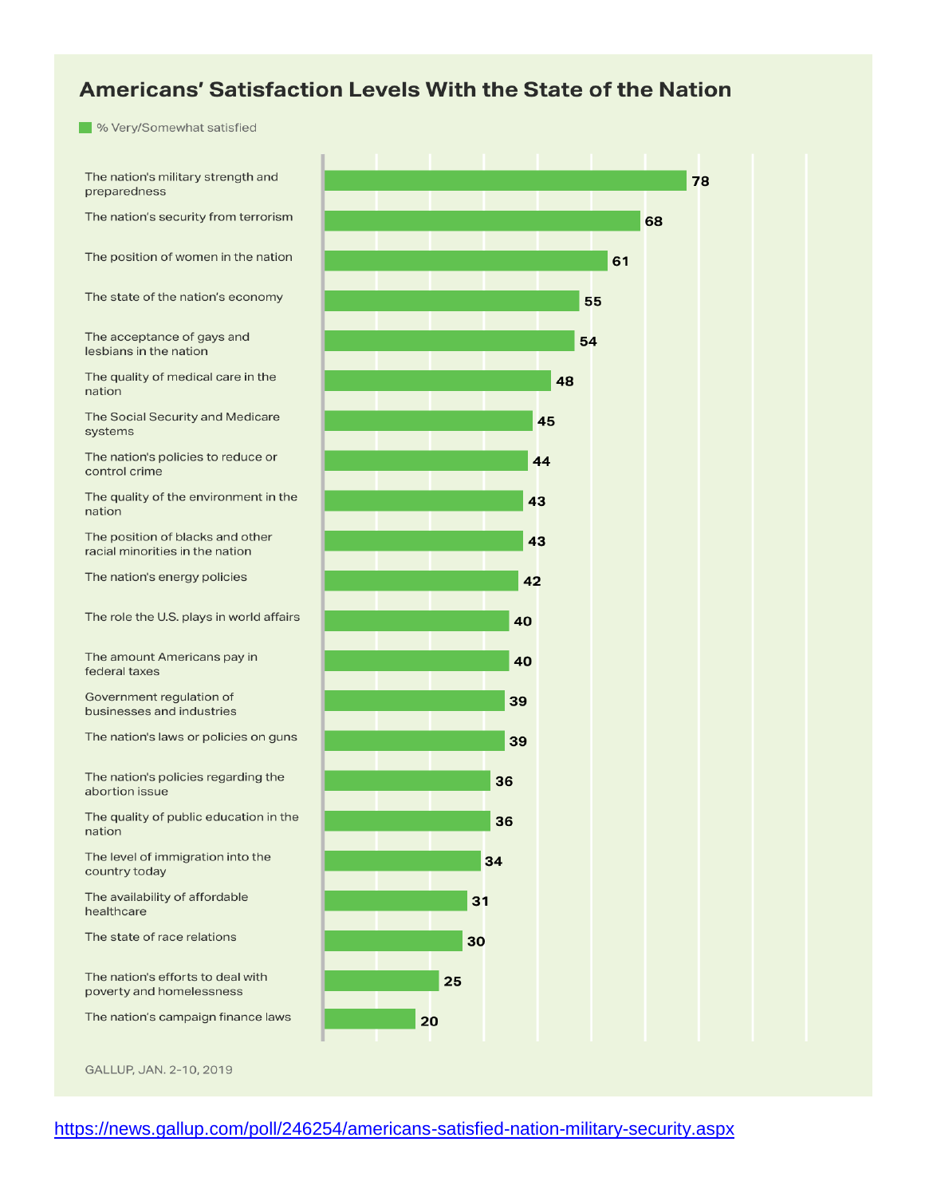### Americans' Satisfaction Levels With the State of the Nation

**W** Very/Somewhat satisfied

The nation's military strength and preparedness

The nation's security from terrorism

The position of women in the nation

The state of the nation's economy

The acceptance of gays and lesbians in the nation

The quality of medical care in the nation

The Social Security and Medicare systems

The nation's policies to reduce or control crime

The quality of the environment in the nation

The position of blacks and other racial minorities in the nation

The nation's energy policies

The role the U.S. plays in world affairs

The amount Americans pay in federal taxes

Government regulation of businesses and industries

The nation's laws or policies on guns

The nation's policies regarding the abortion issue

The quality of public education in the nation

The level of immigration into the country today

The availability of affordable healthcare

The state of race relations

The nation's efforts to deal with poverty and homelessness

The nation's campaign finance laws

GALLUP, JAN. 2-10, 2019